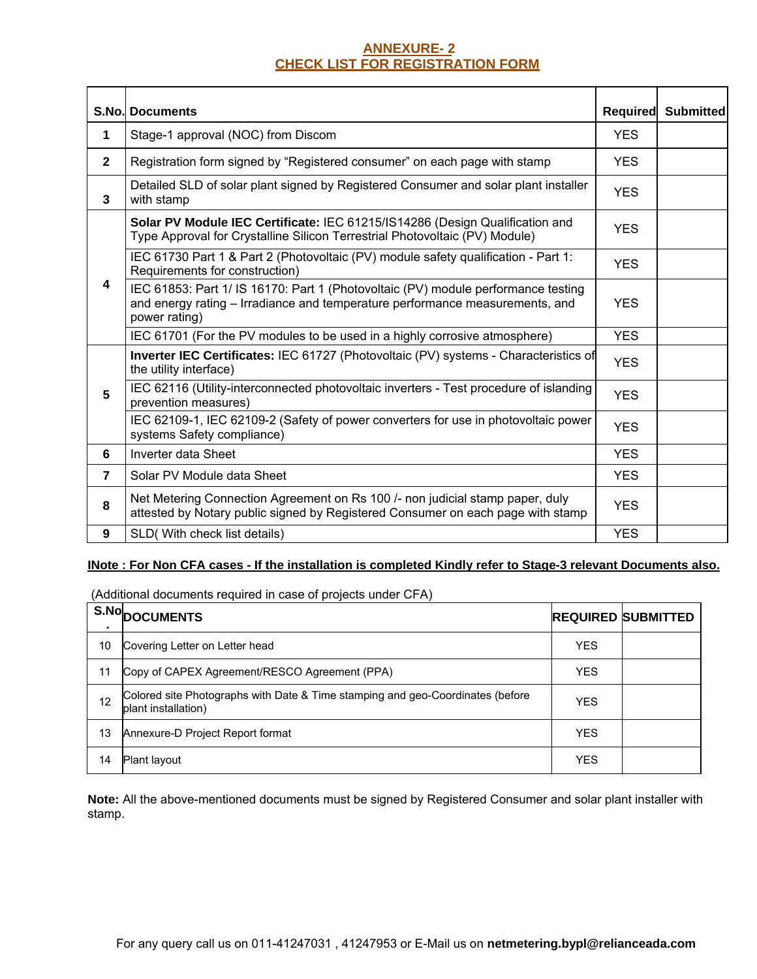# **ANNEXURE- 2 CHECK LIST FOR REGISTRATION FORM**

|                          | <b>S.No. Documents</b>                                                                                                                                                             | Required   | <b>Submitted</b> |
|--------------------------|------------------------------------------------------------------------------------------------------------------------------------------------------------------------------------|------------|------------------|
| 1                        | Stage-1 approval (NOC) from Discom                                                                                                                                                 | <b>YES</b> |                  |
| $\mathbf{2}$             | Registration form signed by "Registered consumer" on each page with stamp                                                                                                          | <b>YES</b> |                  |
| 3                        | Detailed SLD of solar plant signed by Registered Consumer and solar plant installer<br>with stamp                                                                                  | <b>YES</b> |                  |
|                          | Solar PV Module IEC Certificate: IEC 61215/IS14286 (Design Qualification and<br>Type Approval for Crystalline Silicon Terrestrial Photovoltaic (PV) Module)                        | <b>YES</b> |                  |
|                          | IEC 61730 Part 1 & Part 2 (Photovoltaic (PV) module safety qualification - Part 1:<br>Requirements for construction)                                                               | <b>YES</b> |                  |
| 4                        | IEC 61853: Part 1/ IS 16170: Part 1 (Photovoltaic (PV) module performance testing<br>and energy rating - Irradiance and temperature performance measurements, and<br>power rating) | <b>YES</b> |                  |
|                          | IEC 61701 (For the PV modules to be used in a highly corrosive atmosphere)                                                                                                         | <b>YES</b> |                  |
|                          | Inverter IEC Certificates: IEC 61727 (Photovoltaic (PV) systems - Characteristics of<br>the utility interface)                                                                     | <b>YES</b> |                  |
| 5                        | IEC 62116 (Utility-interconnected photovoltaic inverters - Test procedure of islanding<br>prevention measures)                                                                     | <b>YES</b> |                  |
|                          | IEC 62109-1, IEC 62109-2 (Safety of power converters for use in photovoltaic power<br>systems Safety compliance)                                                                   | <b>YES</b> |                  |
| 6                        | Inverter data Sheet                                                                                                                                                                | <b>YES</b> |                  |
| $\overline{\phantom{a}}$ | Solar PV Module data Sheet                                                                                                                                                         | <b>YES</b> |                  |
| 8                        | Net Metering Connection Agreement on Rs 100 /- non judicial stamp paper, duly<br>attested by Notary public signed by Registered Consumer on each page with stamp                   | <b>YES</b> |                  |
| 9                        | SLD( With check list details)                                                                                                                                                      | <b>YES</b> |                  |

### **INote : For Non CFA cases - If the installation is completed Kindly refer to Stage-3 relevant Documents also.**

(Additional documents required in case of projects under CFA)

| $\blacksquare$ | S.NoDOCUMENTS                                                                                         |            | <b>REQUIRED SUBMITTED</b> |
|----------------|-------------------------------------------------------------------------------------------------------|------------|---------------------------|
| 10             | Covering Letter on Letter head                                                                        | <b>YES</b> |                           |
| 11             | Copy of CAPEX Agreement/RESCO Agreement (PPA)                                                         | <b>YES</b> |                           |
| 12             | Colored site Photographs with Date & Time stamping and geo-Coordinates (before<br>plant installation) | <b>YES</b> |                           |
| 13             | Annexure-D Project Report format                                                                      | <b>YES</b> |                           |
| 14             | Plant layout                                                                                          | <b>YES</b> |                           |

**Note:** All the above-mentioned documents must be signed by Registered Consumer and solar plant installer with stamp.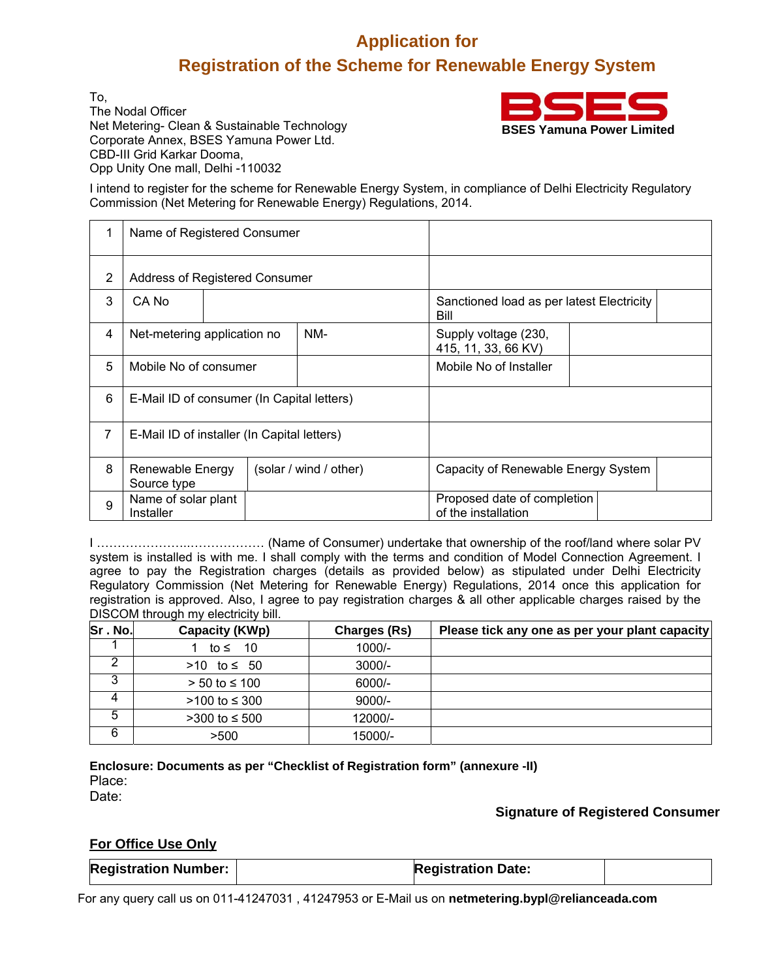# **Application for Registration of the Scheme for Renewable Energy System**

To, The Nodal Officer Net Metering- Clean & Sustainable Technology Corporate Annex, BSES Yamuna Power Ltd. CBD-III Grid Karkar Dooma, Opp Unity One mall, Delhi -110032



I intend to register for the scheme for Renewable Energy System, in compliance of Delhi Electricity Regulatory Commission (Net Metering for Renewable Energy) Regulations, 2014.

|   | Name of Registered Consumer                 |  |                        |                                                    |
|---|---------------------------------------------|--|------------------------|----------------------------------------------------|
| 2 | Address of Registered Consumer              |  |                        |                                                    |
| 3 | CA No                                       |  |                        | Sanctioned load as per latest Electricity<br>Bill  |
| 4 | Net-metering application no                 |  | NM-                    | Supply voltage (230,<br>415, 11, 33, 66 KV)        |
| 5 | Mobile No of consumer                       |  |                        | Mobile No of Installer                             |
| 6 | E-Mail ID of consumer (In Capital letters)  |  |                        |                                                    |
| 7 | E-Mail ID of installer (In Capital letters) |  |                        |                                                    |
| 8 | Renewable Energy<br>Source type             |  | (solar / wind / other) | Capacity of Renewable Energy System                |
| 9 | Name of solar plant<br>Installer            |  |                        | Proposed date of completion<br>of the installation |

I …………………..……………… (Name of Consumer) undertake that ownership of the roof/land where solar PV system is installed is with me. I shall comply with the terms and condition of Model Connection Agreement. I agree to pay the Registration charges (details as provided below) as stipulated under Delhi Electricity Regulatory Commission (Net Metering for Renewable Energy) Regulations, 2014 once this application for registration is approved. Also, I agree to pay registration charges & all other applicable charges raised by the DISCOM through my electricity bill.

| Sr.No. | Capacity (KWp)  | <b>Charges (Rs)</b> | Please tick any one as per your plant capacity |
|--------|-----------------|---------------------|------------------------------------------------|
|        | to ≤ 10         | $1000/-$            |                                                |
|        | >10 to ≤ 50     | $3000/-$            |                                                |
|        | $> 50$ to ≤ 100 | $6000/-$            |                                                |
|        | >100 to ≤ 300   | $9000/-$            |                                                |
| 5      | >300 to ≤ 500   | 12000/-             |                                                |
| 6      | >500            | 15000/-             |                                                |

**Enclosure: Documents as per "Checklist of Registration form" (annexure -II)**  Place: Date:

**Signature of Registered Consumer**

# **For Office Use Only**

| <b>Registration Number:</b> | <b>Registration Date:</b> |  |
|-----------------------------|---------------------------|--|

For any query call us on 011-41247031 , 41247953 or E-Mail us on **netmetering.bypl@relianceada.com**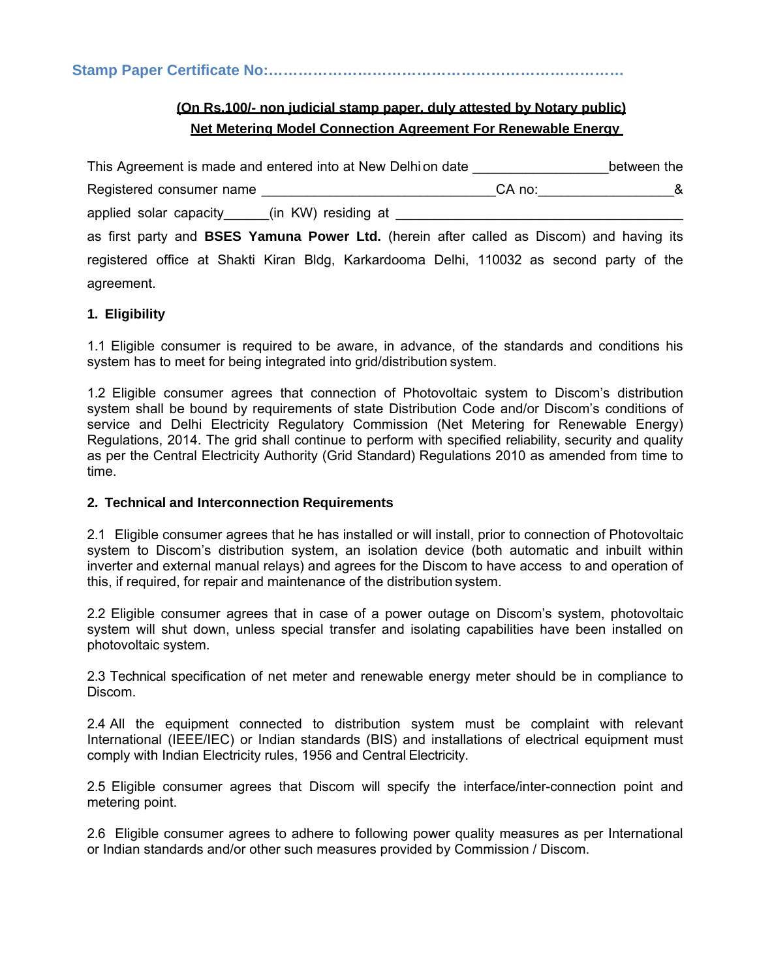**Stamp Paper Certificate No:………………………………………………………………** 

# **(On Rs.100/- non judicial stamp paper, duly attested by Notary public) Net Metering Model Connection Agreement For Renewable Energy**

| This Agreement is made and entered into at New Delhion date                                     |                       | between the |
|-------------------------------------------------------------------------------------------------|-----------------------|-------------|
| Registered consumer name                                                                        | CA no: ______________ | - &         |
| applied solar capacity______(in KW) residing at ________________________________                |                       |             |
| as first party and <b>BSES Yamuna Power Ltd.</b> (herein after called as Discom) and having its |                       |             |
| registered office at Shakti Kiran Bldg, Karkardooma Delhi, 110032 as second party of the        |                       |             |
| agreement.                                                                                      |                       |             |

# **1. Eligibility**

1.1 Eligible consumer is required to be aware, in advance, of the standards and conditions his system has to meet for being integrated into grid/distribution system.

1.2 Eligible consumer agrees that connection of Photovoltaic system to Discom's distribution system shall be bound by requirements of state Distribution Code and/or Discom's conditions of service and Delhi Electricity Regulatory Commission (Net Metering for Renewable Energy) Regulations, 2014. The grid shall continue to perform with specified reliability, security and quality as per the Central Electricity Authority (Grid Standard) Regulations 2010 as amended from time to time.

#### **2. Technical and Interconnection Requirements**

2.1 Eligible consumer agrees that he has installed or will install, prior to connection of Photovoltaic system to Discom's distribution system, an isolation device (both automatic and inbuilt within inverter and external manual relays) and agrees for the Discom to have access to and operation of this, if required, for repair and maintenance of the distribution system.

2.2 Eligible consumer agrees that in case of a power outage on Discom's system, photovoltaic system will shut down, unless special transfer and isolating capabilities have been installed on photovoltaic system.

2.3 Technical specification of net meter and renewable energy meter should be in compliance to Discom.

2.4 All the equipment connected to distribution system must be complaint with relevant International (IEEE/IEC) or Indian standards (BIS) and installations of electrical equipment must comply with Indian Electricity rules, 1956 and Central Electricity.

2.5 Eligible consumer agrees that Discom will specify the interface/inter-connection point and metering point.

2.6 Eligible consumer agrees to adhere to following power quality measures as per International or Indian standards and/or other such measures provided by Commission / Discom.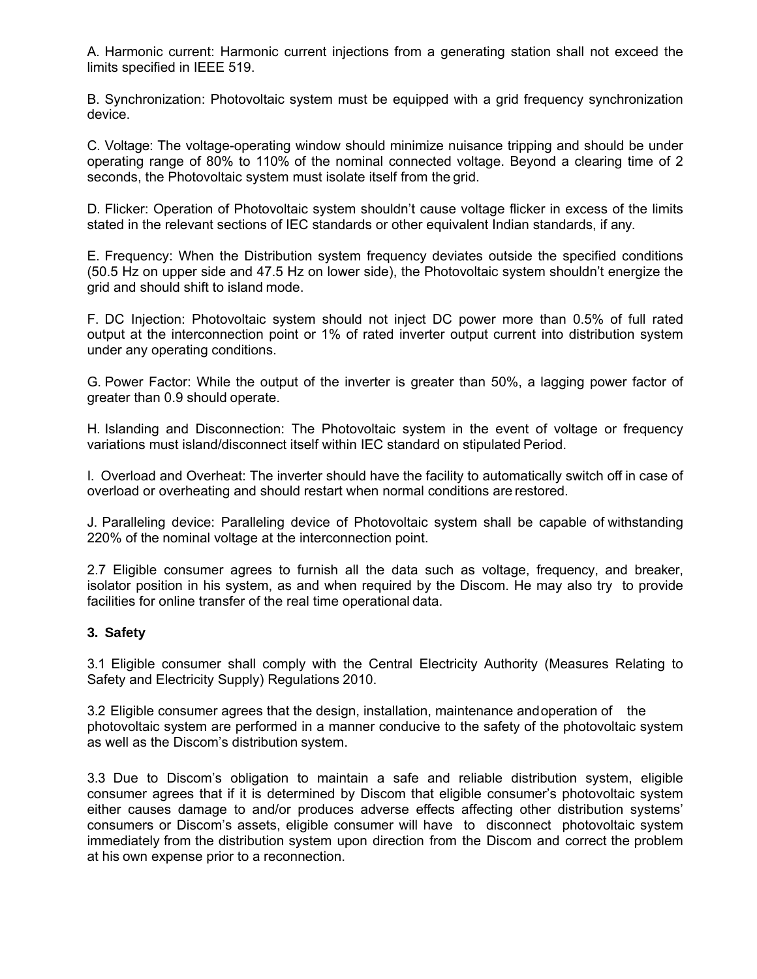A. Harmonic current: Harmonic current injections from a generating station shall not exceed the limits specified in IEEE 519.

B. Synchronization: Photovoltaic system must be equipped with a grid frequency synchronization device.

C. Voltage: The voltage-operating window should minimize nuisance tripping and should be under operating range of 80% to 110% of the nominal connected voltage. Beyond a clearing time of 2 seconds, the Photovoltaic system must isolate itself from the grid.

D. Flicker: Operation of Photovoltaic system shouldn't cause voltage flicker in excess of the limits stated in the relevant sections of IEC standards or other equivalent Indian standards, if any.

E. Frequency: When the Distribution system frequency deviates outside the specified conditions (50.5 Hz on upper side and 47.5 Hz on lower side), the Photovoltaic system shouldn't energize the grid and should shift to island mode.

F. DC Injection: Photovoltaic system should not inject DC power more than 0.5% of full rated output at the interconnection point or 1% of rated inverter output current into distribution system under any operating conditions.

G. Power Factor: While the output of the inverter is greater than 50%, a lagging power factor of greater than 0.9 should operate.

H. Islanding and Disconnection: The Photovoltaic system in the event of voltage or frequency variations must island/disconnect itself within IEC standard on stipulated Period.

I. Overload and Overheat: The inverter should have the facility to automatically switch off in case of overload or overheating and should restart when normal conditions are restored.

J. Paralleling device: Paralleling device of Photovoltaic system shall be capable of withstanding 220% of the nominal voltage at the interconnection point.

2.7 Eligible consumer agrees to furnish all the data such as voltage, frequency, and breaker, isolator position in his system, as and when required by the Discom. He may also try to provide facilities for online transfer of the real time operational data.

#### **3. Safety**

3.1 Eligible consumer shall comply with the Central Electricity Authority (Measures Relating to Safety and Electricity Supply) Regulations 2010.

3.2 Eligible consumer agrees that the design, installation, maintenance and operation of the photovoltaic system are performed in a manner conducive to the safety of the photovoltaic system as well as the Discom's distribution system.

3.3 Due to Discom's obligation to maintain a safe and reliable distribution system, eligible consumer agrees that if it is determined by Discom that eligible consumer's photovoltaic system either causes damage to and/or produces adverse effects affecting other distribution systems' consumers or Discom's assets, eligible consumer will have to disconnect photovoltaic system immediately from the distribution system upon direction from the Discom and correct the problem at his own expense prior to a reconnection.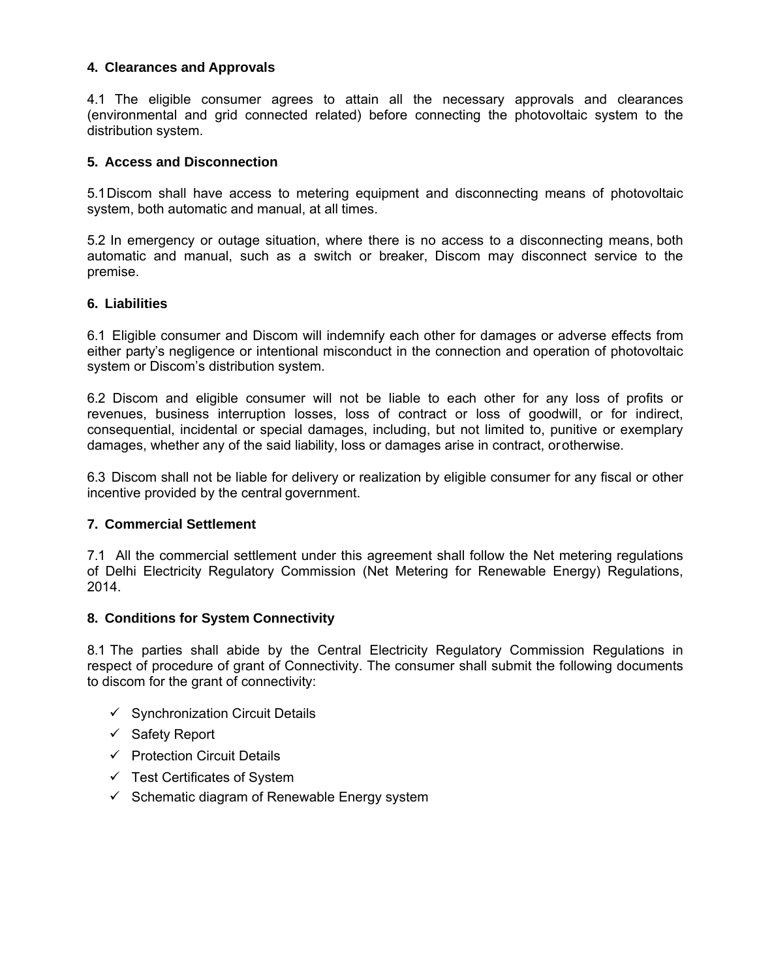# **4. Clearances and Approvals**

4.1 The eligible consumer agrees to attain all the necessary approvals and clearances (environmental and grid connected related) before connecting the photovoltaic system to the distribution system.

### **5. Access and Disconnection**

5.1 Discom shall have access to metering equipment and disconnecting means of photovoltaic system, both automatic and manual, at all times.

5.2 In emergency or outage situation, where there is no access to a disconnecting means, both automatic and manual, such as a switch or breaker, Discom may disconnect service to the premise.

#### **6. Liabilities**

6.1 Eligible consumer and Discom will indemnify each other for damages or adverse effects from either party's negligence or intentional misconduct in the connection and operation of photovoltaic system or Discom's distribution system.

6.2 Discom and eligible consumer will not be liable to each other for any loss of profits or revenues, business interruption losses, loss of contract or loss of goodwill, or for indirect, consequential, incidental or special damages, including, but not limited to, punitive or exemplary damages, whether any of the said liability, loss or damages arise in contract, or otherwise.

6.3 Discom shall not be liable for delivery or realization by eligible consumer for any fiscal or other incentive provided by the central government.

## **7. Commercial Settlement**

7.1 All the commercial settlement under this agreement shall follow the Net metering regulations of Delhi Electricity Regulatory Commission (Net Metering for Renewable Energy) Regulations, 2014.

#### **8. Conditions for System Connectivity**

8.1 The parties shall abide by the Central Electricity Regulatory Commission Regulations in respect of procedure of grant of Connectivity. The consumer shall submit the following documents to discom for the grant of connectivity:

- $\checkmark$  Synchronization Circuit Details
- $\checkmark$  Safety Report
- $\checkmark$  Protection Circuit Details
- $\checkmark$  Test Certificates of System
- $\checkmark$  Schematic diagram of Renewable Energy system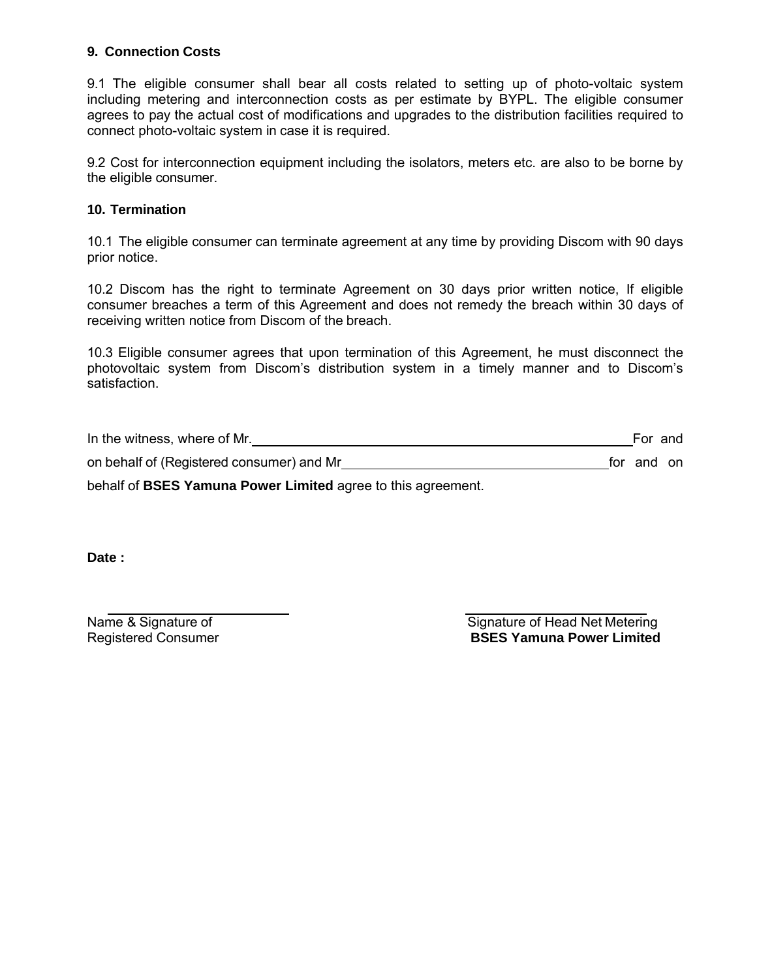# **9. Connection Costs**

9.1 The eligible consumer shall bear all costs related to setting up of photo-voltaic system including metering and interconnection costs as per estimate by BYPL. The eligible consumer agrees to pay the actual cost of modifications and upgrades to the distribution facilities required to connect photo-voltaic system in case it is required.

9.2 Cost for interconnection equipment including the isolators, meters etc. are also to be borne by the eligible consumer.

# **10. Termination**

10.1 The eligible consumer can terminate agreement at any time by providing Discom with 90 days prior notice.

10.2 Discom has the right to terminate Agreement on 30 days prior written notice, If eligible consumer breaches a term of this Agreement and does not remedy the breach within 30 days of receiving written notice from Discom of the breach.

10.3 Eligible consumer agrees that upon termination of this Agreement, he must disconnect the photovoltaic system from Discom's distribution system in a timely manner and to Discom's satisfaction.

| In the witness, where of Mr.              |            | For and |  |
|-------------------------------------------|------------|---------|--|
| on behalf of (Registered consumer) and Mr | for and on |         |  |
|                                           |            |         |  |

behalf of **BSES Yamuna Power Limited** agree to this agreement.

Date :

Name & Signature of Signature of Signature of Head Net Metering Registered Consumer **BSES Yamuna Power Limited**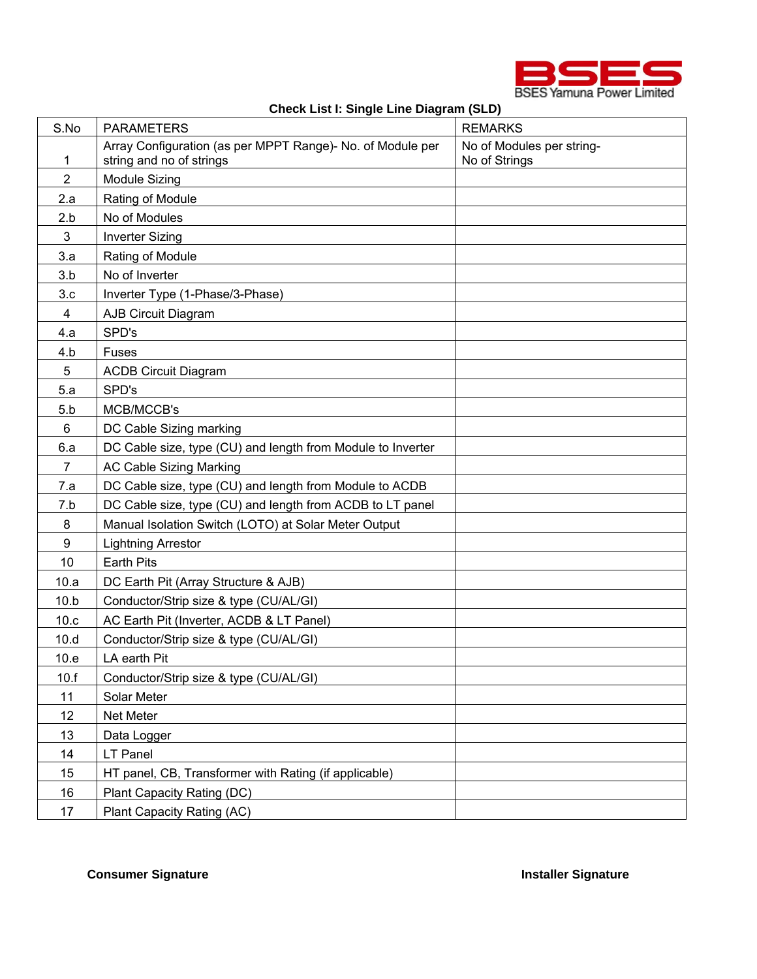

|  |  | Check List I: Single Line Diagram (SLD) |  |
|--|--|-----------------------------------------|--|
|  |  |                                         |  |

| S.No           | <b>PARAMETERS</b>                                                                      | <b>REMARKS</b>                             |
|----------------|----------------------------------------------------------------------------------------|--------------------------------------------|
| 1              | Array Configuration (as per MPPT Range)- No. of Module per<br>string and no of strings | No of Modules per string-<br>No of Strings |
| $\overline{2}$ | <b>Module Sizing</b>                                                                   |                                            |
| 2.a            | Rating of Module                                                                       |                                            |
| 2.b            | No of Modules                                                                          |                                            |
| 3              | <b>Inverter Sizing</b>                                                                 |                                            |
| 3.a            | Rating of Module                                                                       |                                            |
| 3.b            | No of Inverter                                                                         |                                            |
| 3.c            | Inverter Type (1-Phase/3-Phase)                                                        |                                            |
| 4              | AJB Circuit Diagram                                                                    |                                            |
| 4.a            | SPD's                                                                                  |                                            |
| 4.b            | Fuses                                                                                  |                                            |
| 5              | <b>ACDB Circuit Diagram</b>                                                            |                                            |
| 5.a            | SPD's                                                                                  |                                            |
| 5.b            | MCB/MCCB's                                                                             |                                            |
| 6              | DC Cable Sizing marking                                                                |                                            |
| 6.a            | DC Cable size, type (CU) and length from Module to Inverter                            |                                            |
| $\overline{7}$ | <b>AC Cable Sizing Marking</b>                                                         |                                            |
| 7.a            | DC Cable size, type (CU) and length from Module to ACDB                                |                                            |
| 7.b            | DC Cable size, type (CU) and length from ACDB to LT panel                              |                                            |
| 8              | Manual Isolation Switch (LOTO) at Solar Meter Output                                   |                                            |
| 9              | <b>Lightning Arrestor</b>                                                              |                                            |
| 10             | <b>Earth Pits</b>                                                                      |                                            |
| 10.a           | DC Earth Pit (Array Structure & AJB)                                                   |                                            |
| 10.b           | Conductor/Strip size & type (CU/AL/GI)                                                 |                                            |
| 10.c           | AC Earth Pit (Inverter, ACDB & LT Panel)                                               |                                            |
| 10.d           | Conductor/Strip size & type (CU/AL/GI)                                                 |                                            |
| 10.e           | LA earth Pit                                                                           |                                            |
| 10.f           | Conductor/Strip size & type (CU/AL/GI)                                                 |                                            |
| 11             | Solar Meter                                                                            |                                            |
| 12             | Net Meter                                                                              |                                            |
| 13             | Data Logger                                                                            |                                            |
| 14             | LT Panel                                                                               |                                            |
| 15             | HT panel, CB, Transformer with Rating (if applicable)                                  |                                            |
| 16             | Plant Capacity Rating (DC)                                                             |                                            |
| 17             | Plant Capacity Rating (AC)                                                             |                                            |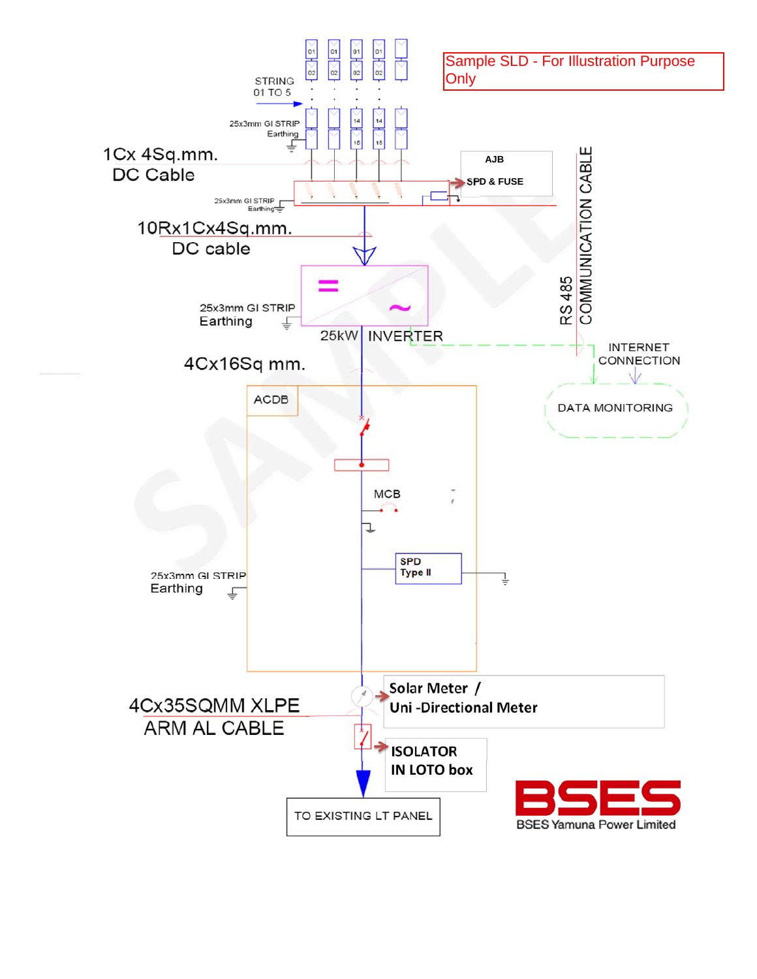